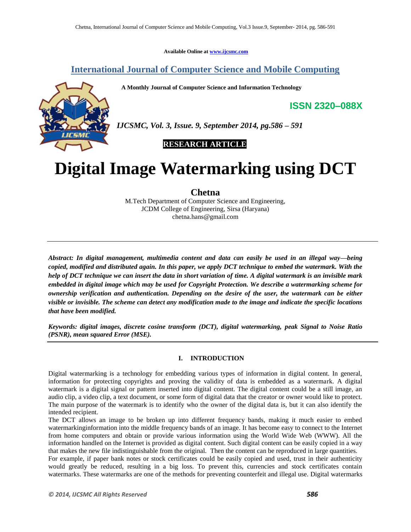**Available Online at [www.ijcsmc.com](http://www.ijcsmc.com/)**

# **International Journal of Computer Science and Mobile Computing**

 **A Monthly Journal of Computer Science and Information Technology**



*IJCSMC, Vol. 3, Issue. 9, September 2014, pg.586 – 591*

 **RESEARCH ARTICLE**

# **Digital Image Watermarking using DCT**

**Chetna**

M.Tech Department of Computer Science and Engineering, JCDM College of Engineering, Sirsa (Haryana) chetna.hans@gmail.com

*Abstract: In digital management, multimedia content and data can easily be used in an illegal way—being copied, modified and distributed again. In this paper, we apply DCT technique to embed the watermark. With the help of DCT technique we can insert the data in short variation of time. A digital watermark is an invisible mark embedded in digital image which may be used for Copyright Protection. We describe a watermarking scheme for ownership verification and authentication. Depending on the desire of the user, the watermark can be either visible or invisible. The scheme can detect any modification made to the image and indicate the specific locations that have been modified.*

*Keywords: digital images, discrete cosine transform (DCT), digital watermarking, peak Signal to Noise Ratio (PSNR), mean squared Error (MSE).*

# **I. INTRODUCTION**

Digital watermarking is a technology for embedding various types of information in digital content. In general, information for protecting copyrights and proving the validity of data is embedded as a watermark. A digital watermark is a digital signal or pattern inserted into digital content. The digital content could be a still image, an audio clip, a video clip, a text document, or some form of digital data that the creator or owner would like to protect. The main purpose of the watermark is to identify who the owner of the digital data is, but it can also identify the intended recipient.

The DCT allows an image to be broken up into different frequency bands, making it much easier to embed watermarkinginformation into the middle frequency bands of an image. It has become easy to connect to the Internet from home computers and obtain or provide various information using the World Wide Web (WWW). All the information handled on the Internet is provided as digital content. Such digital content can be easily copied in a way that makes the new file indistinguishable from the original. Then the content can be reproduced in large quantities.

For example, if paper bank notes or stock certificates could be easily copied and used, trust in their authenticity would greatly be reduced, resulting in a big loss. To prevent this, currencies and stock certificates contain watermarks. These watermarks are one of the methods for preventing counterfeit and illegal use. Digital watermarks

**ISSN 2320–088X**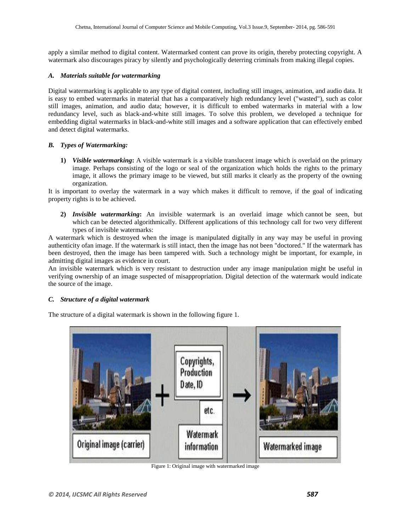apply a similar method to digital content. Watermarked content can prove its origin, thereby protecting copyright. A watermark also discourages piracy by silently and psychologically deterring criminals from making illegal copies.

### *A. Materials suitable for watermarking*

Digital watermarking is applicable to any type of digital content, including still images, animation, and audio data. It is easy to embed watermarks in material that has a comparatively high redundancy level ("wasted"), such as color still images, animation, and audio data; however, it is difficult to embed watermarks in material with a low redundancy level, such as black-and-white still images. To solve this problem, we developed a technique for embedding digital watermarks in black-and-white still images and a software application that can effectively embed and detect digital watermarks.

#### *B. Types of Watermarking:*

**1)** *Visible watermarking***:** A visible watermark is a visible translucent image which is overlaid on the primary image. Perhaps consisting of the logo or seal of the organization which holds the rights to the primary image, it allows the primary image to be viewed, but still marks it clearly as the property of the owning organization.

It is important to overlay the watermark in a way which makes it difficult to remove, if the goal of indicating property rights is to be achieved.

**2)** *Invisible watermarking***:** An invisible watermark is an overlaid image which cannot be seen, but which can be detected algorithmically. Different applications of this technology call for two very different types of invisible watermarks:

A watermark which is destroyed when the image is manipulated digitally in any way may be useful in proving authenticity ofan image. If the watermark is still intact, then the image has not been "doctored." If the watermark has been destroyed, then the image has been tampered with. Such a technology might be important, for example, in admitting digital images as evidence in court.

An invisible watermark which is very resistant to destruction under any image manipulation might be useful in verifying ownership of an image suspected of misappropriation. Digital detection of the watermark would indicate the source of the image.

## *C. Structure of a digital watermark*

The structure of a digital watermark is shown in the following figure 1.



Figure 1: Original image with watermarked image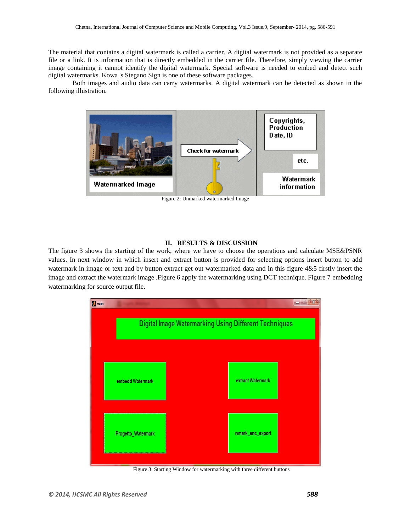The material that contains a digital watermark is called a carrier. A digital watermark is not provided as a separate file or a link. It is information that is directly embedded in the carrier file. Therefore, simply viewing the carrier image containing it cannot identify the digital watermark. Special software is needed to embed and detect such digital watermarks. Kowa 's Stegano Sign is one of these software packages.

Both images and audio data can carry watermarks. A digital watermark can be detected as shown in the following illustration.



Figure 2: Unmarked watermarked Image

### **II. RESULTS & DISCUSSION**

The figure 3 shows the starting of the work, where we have to choose the operations and calculate MSE&PSNR values. In next window in which insert and extract button is provided for selecting options insert button to add watermark in image or text and by button extract get out watermarked data and in this figure 4&5 firstly insert the image and extract the watermark image .Figure 6 apply the watermarking using DCT technique. Figure 7 embedding watermarking for source output file.



Figure 3: Starting Window for watermarking with three different buttons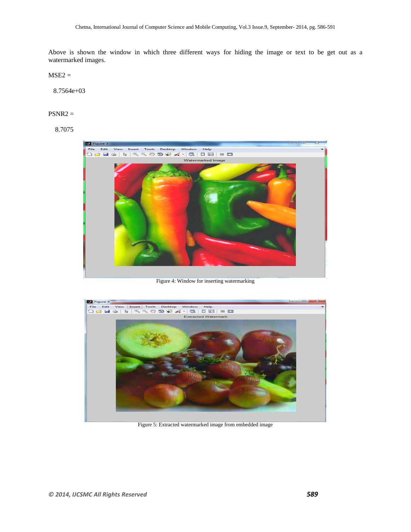Above is shown the window in which three different ways for hiding the image or text to be get out as a watermarked images.

 $MSE2 =$ 

8.7564e+03

#### PSNR2 =

8.7075



Figure 4: Window for inserting watermarking



Figure 5: Extracted watermarked image from embedded image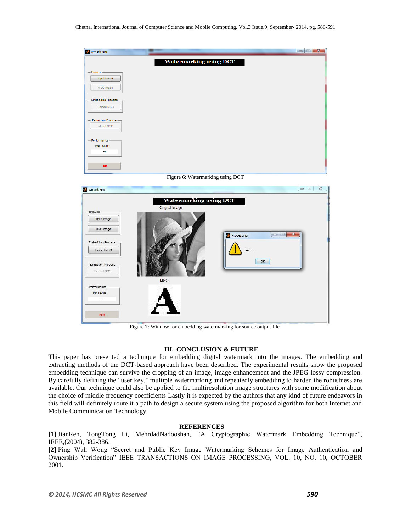| wmark_enc                             |                                  |                                 |
|---------------------------------------|----------------------------------|---------------------------------|
|                                       | <b>Watermarking using DCT</b>    |                                 |
| <b>Browse</b>                         |                                  |                                 |
| Input Image                           |                                  |                                 |
| <b>MSG</b> Image                      |                                  |                                 |
| <b>Embedding Process-</b>             |                                  |                                 |
| Embed MSG                             |                                  |                                 |
| <b>Extraction Process</b>             |                                  |                                 |
| <b>Extract MSG</b>                    |                                  |                                 |
| Performance                           |                                  |                                 |
| Img PSNR<br>à.                        |                                  |                                 |
|                                       |                                  |                                 |
| Exit                                  |                                  |                                 |
|                                       | Figure 6: Watermarking using DCT |                                 |
| wmark_enc                             |                                  | $\Sigma$<br>$\Box$              |
|                                       | <b>Watermarking using DCT</b>    |                                 |
| - Browse                              | Orignal Image                    |                                 |
| Input Image                           |                                  |                                 |
| <b>MSG</b> Image                      |                                  |                                 |
|                                       | <b>Processing</b>                | <b>CONSERVE</b><br>$\mathbf{x}$ |
| <b>Embedding Process</b><br>Embed MSG |                                  | Wait                            |
|                                       |                                  |                                 |
| <b>Extraction Process</b>             |                                  | OK                              |
| Extract MSG                           |                                  |                                 |
| Performance                           | <b>MSG</b>                       |                                 |
| Img PSNR<br>÷.                        |                                  |                                 |
|                                       |                                  |                                 |
| Exit                                  |                                  |                                 |
|                                       |                                  |                                 |

Figure 7: Window for embedding watermarking for source output file.

#### **III. CONCLUSION & FUTURE**

This paper has presented a technique for embedding digital watermark into the images. The embedding and extracting methods of the DCT-based approach have been described. The experimental results show the proposed embedding technique can survive the cropping of an image, image enhancement and the JPEG lossy compression. By carefully defining the "user key," multiple watermarking and repeatedly embedding to harden the robustness are available. Our technique could also be applied to the multiresolution image structures with some modification about the choice of middle frequency coefficients Lastly it is expected by the authors that any kind of future endeavors in this field will definitely route it a path to design a secure system using the proposed algorithm for both Internet and Mobile Communication Technology

#### **REFERENCES**

**[1]** JianRen, TongTong Li, MehrdadNadooshan, "A Cryptographic Watermark Embedding Technique", IEEE,(2004), 382-386.

**[2]** Ping Wah Wong "Secret and Public Key Image Watermarking Schemes for Image Authentication and Ownership Verification" IEEE TRANSACTIONS ON IMAGE PROCESSING, VOL. 10, NO. 10, OCTOBER 2001.